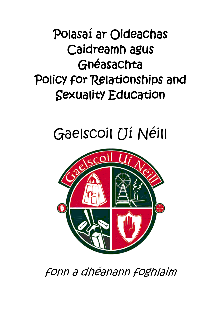# Polasaí ar Oideachas Caidreamh agus Gnéasachta Policy for Relationships and Sexuality Education

# Gaelscoil Uí Néill



fonn a dhéanann foghlaim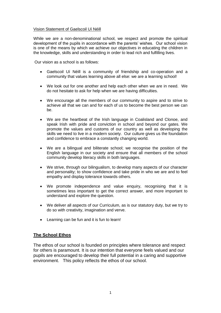#### Vision Statement of Gaelscoil Uí Néill

While we are a non-denominational school, we respect and promote the spiritual development of the pupils in accordance with the parents' wishes. Our school vision is one of the means by which we achieve our objectives in educating the children in the knowledge, skills and understanding in order to lead rich and fulfilling lives.

Our vision as a school is as follows:

- Gaelscoil Uí Néill is a community of friendship and co-operation and a community that values learning above all else: we are a learning school!
- We look out for one another and help each other when we are in need. We do not hesitate to ask for help when we are having difficulties.
- We encourage all the members of our community to aspire and to strive to achieve all that we can and for each of us to become the best person we can be.
- We are the heartbeat of the Irish language in Coalisland and Clonoe, and speak Irish with pride and conviction in school and beyond our gates. We promote the values and customs of our country as well as developing the skills we need to live in a modern society. Our culture gives us the foundation and confidence to embrace a constantly changing world.
- We are a bilingual and biliterate school; we recognise the position of the English language in our society and ensure that all members of the school community develop literacy skills in both languages.
- We strive, through our bilingualism, to develop many aspects of our character and personality; to show confidence and take pride in who we are and to feel empathy and display tolerance towards others.
- We promote independence and value enquiry, recognising that it is sometimes less important to get the correct answer, and more important to understand and explore the question.
- We deliver all aspects of our Curriculum, as is our statutory duty, but we try to do so with creativity, imagination and verve.
- Learning can be fun and it is fun to learn!

#### **The School Ethos**

The ethos of our school is founded on principles where tolerance and respect for others is paramount. It is our intention that everyone feels valued and our pupils are encouraged to develop their full potential in a caring and supportive environment. This policy reflects the ethos of our school.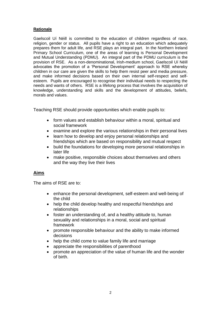#### **Rationale**

Gaelscoil Uí Néill is committed to the education of children regardless of race, religion, gender or status. All pupils have a right to an education which adequately prepares them for adult life, and RSE plays an integral part. In the Northern Ireland Primary School Curriculum, one of the areas of learning is Personal Development and Mutual Understanding (PDMU). An integral part of the PDMU curriculum is the provision of RSE. As a non-denominational, Irish-medium school, Gaelscoil Uí Néill advocates the promotion of a 'Personal Development' approach to RSE whereby children in our care are given the skills to help them resist peer and media pressure, and make informed decisions based on their own internal self-respect and selfesteem. Pupils are encouraged to recognise their individual needs to respecting the needs and wants of others. RSE is a lifelong process that involves the acquisition of knowledge, understanding and skills and the development of attitudes, beliefs, morals and values.

Teaching RSE should provide opportunities which enable pupils to:

- form values and establish behaviour within a moral, spiritual and social framework
- examine and explore the various relationships in their personal lives
- learn how to develop and enjoy personal relationships and friendships which are based on responsibility and mutual respect
- build the foundations for developing more personal relationships in later life
- make positive, responsible choices about themselves and others and the way they live their lives

# **Aims**

The aims of RSE are to:

- enhance the personal development, self-esteem and well-being of the child
- help the child develop healthy and respectful friendships and relationships
- foster an understanding of, and a healthy attitude to, human sexuality and relationships in a moral, social and spiritual framework
- promote responsible behaviour and the ability to make informed decisions
- help the child come to value family life and marriage
- appreciate the responsibilities of parenthood
- promote an appreciation of the value of human life and the wonder of birth.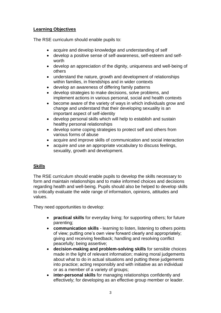# **Learning Objectives**

The RSE curriculum should enable pupils to:

- acquire and develop knowledge and understanding of self
- develop a positive sense of self-awareness, self-esteem and selfworth
- develop an appreciation of the dignity, uniqueness and well-being of others
- understand the nature, growth and development of relationships within families, in friendships and in wider contexts
- develop an awareness of differing family patterns
- develop strategies to make decisions, solve problems, and implement actions in various personal, social and health contexts
- become aware of the variety of ways in which individuals grow and change and understand that their developing sexuality is an important aspect of self-identity
- develop personal skills which will help to establish and sustain healthy personal relationships
- develop some coping strategies to protect self and others from various forms of abuse
- acquire and improve skills of communication and social interaction
- acquire and use an appropriate vocabulary to discuss feelings, sexuality, growth and development.

# **Skills**

The RSE curriculum should enable pupils to develop the skills necessary to form and maintain relationships and to make informed choices and decisions regarding health and well-being. Pupils should also be helped to develop skills to critically evaluate the wide range of information, opinions, attitudes and values.

They need opportunities to develop:

- **practical skills** for everyday living; for supporting others; for future parenting;
- **communication skills**  learning to listen, listening to others points of view; putting one's own view forward clearly and appropriately; giving and receiving feedback; handling and resolving conflict peacefully; being assertive;
- **decision-making and problem-solving skills** for sensible choices made in the light of relevant information; making moral judgements about what to do in actual situations and putting these judgements into practice; acting responsibly and with initiative as an individual or as a member of a variety of groups;
- **inter-personal skills** for managing relationships confidently and effectively; for developing as an effective group member or leader.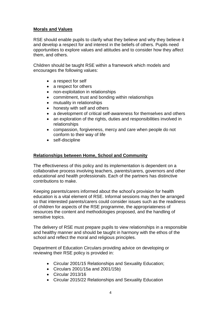#### **Morals and Values**

RSE should enable pupils to clarify what they believe and why they believe it and develop a respect for and interest in the beliefs of others. Pupils need opportunities to explore values and attitudes and to consider how they affect them, and others.

Children should be taught RSE within a framework which models and encourages the following values:

- a respect for self
- a respect for others
- non-exploitation in relationships
- commitment, trust and bonding within relationships
- mutuality in relationships
- honesty with self and others
- a development of critical self-awareness for themselves and others
- an exploration of the rights, duties and responsibilities involved in relationships
- compassion, forgiveness, mercy and care when people do not conform to their way of life
- self-discipline

#### **Relationships between Home, School and Community**

The effectiveness of this policy and its implementation is dependent on a collaborative process involving teachers, parents/carers, governors and other educational and health professionals. Each of the partners has distinctive contributions to make.

Keeping parents/carers informed about the school's provision for health education is a vital element of RSE. Informal sessions may then be arranged so that interested parents/carers could consider issues such as the readiness of children for aspects of the RSE programme, the appropriateness of resources the content and methodologies proposed, and the handling of sensitive topics.

The delivery of RSE must prepare pupils to view relationships in a responsible and healthy manner and should be taught in harmony with the ethos of the school and reflect the moral and religious principles.

Department of Education Circulars providing advice on developing or reviewing their RSE policy is provided in:

- Circular 2001/15 Relationships and Sexuality Education;
- Circulars 2001/15a and 2001/15b)
- Circular 2013/16
- Circular 2015/22 Relationships and Sexuality Education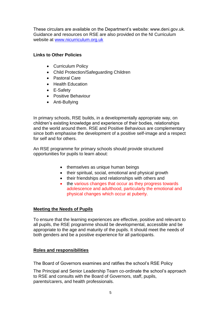These circulars are available on the Department's website: www.deni.gov.uk. Guidance and resources on RSE are also provided on the NI Curriculum website at [www.nicurriculum.org.uk](http://www.nicurriculum.org.uk/)

# **Links to Other Policies**

- Curriculum Policy
- Child Protection/Safeguarding Children
- Pastoral Care
- Health Education
- E-Safety
- Positive Behaviour
- Anti-Bullying

In primary schools, RSE builds, in a developmentally appropriate way, on children's existing knowledge and experience of their bodies, relationships and the world around them. RSE and Positive Behavious are complementary since both emphasise the development of a positive self-image and a respect for self and for others.

An RSE programme for primary schools should provide structured opportunities for pupils to learn about:

- themselves as unique human beings
- their spiritual, social, emotional and physical growth
- their friendships and relationships with others and
- the various changes that occur as they progress towards adolescence and adulthood, particularly the emotional and physical changes which occur at puberty.

# **Meeting the Needs of Pupils**

To ensure that the learning experiences are effective, positive and relevant to all pupils, the RSE programme should be developmental, accessible and be appropriate to the age and maturity of the pupils. It should meet the needs of both genders and be a positive experience for all participants.

# **Roles and responsibilities**

The Board of Governors examines and ratifies the school's RSE Policy

The Principal and Senior Leadership Team co-ordinate the school's approach to RSE and consults with the Board of Governors, staff, pupils, parents/carers, and health professionals.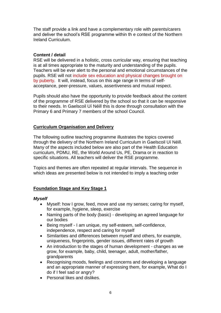The staff provide a link and have a complementary role with parents/carers and deliver the school's RSE programme within th e context of the Northern Ireland Curriculum.

#### **Content / detail**

RSE will be delivered in a holistic, cross curricular way, ensuring that teaching is at all times appropriate to the maturity and understanding of the pupils. Teachers will be ever alert to the personal and emotional circumstances of the pupils. RSE will not include sex education and physical changes brought on by puberty. It will, instead, focus on this age range in terms of selfacceptance, peer-pressure, values, assertiveness and mutual respect.

Pupils should also have the opportunity to provide feedback about the content of the programme of RSE delivered by the school so that it can be responsive to their needs. In Gaelscoil Uí Néill this is done through consultation with the Primary 6 and Primary 7 members of the school Council.

#### **Curriculum Organisation and Delivery**

The following outline teaching programme illustrates the topics covered through the delivery of the Northern Ireland Curriculum in Gaelscoil Uí Néill. Many of the aspects included below are also part of the Health Education curriculum, PDMU, RE, the World Around Us, PE, Drama or in reaction to specific situations. All teachers will deliver the RSE programme.

Topics and themes are often repeated at regular intervals. The sequence in which ideas are presented below is not intended to imply a teaching order

# **Foundation Stage and Key Stage 1**

#### *Myself*

- Myself: how I grow, feed, move and use my senses; caring for myself, for example, hygiene, sleep, exercise
- Naming parts of the body (basic) developing an agreed language for our bodies
- Being myself I am unique, my self-esteem, self-confidence, independence, respect and caring for myself
- Similarities and differences between myself and others, for example, uniqueness, fingerprints, gender issues, different rates of growth
- An introduction to the stages of human development changes as we grow, for example, baby, child, teenager, adult, mother/father, grandparents
- Recognising moods, feelings and concerns and developing a language and an appropriate manner of expressing them, for example, What do I do if I feel sad or angry?
- Personal likes and dislikes.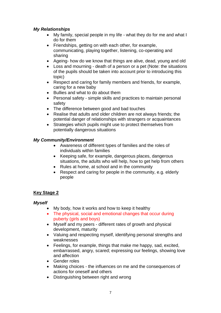# *My Relationships*

- My family, special people in my life what they do for me and what I do for them
- Friendships, getting on with each other, for example, communicating, playing together, listening, co-operating and sharing
- Ageing- how do we know that things are alive, dead, young and old
- Loss and mourning death of a person or a pet (Note: the situations of the pupils should be taken into account prior to introducing this topic)
- Respect and caring for family members and friends, for example, caring for a new baby
- Bullies and what to do about them
- Personal safety simple skills and practices to maintain personal safety
- The difference between good and bad touches
- Realise that adults and older children are not always friends; the potential danger of relationships with strangers or acquaintances
- Strategies which pupils might use to protect themselves from potentially dangerous situations

# *My Community/Environment*

- Awareness of different types of families and the roles of individuals within families
- Keeping safe, for example, dangerous places, dangerous situations, the adults who will help, how to get help from others
- Rules at home, at school and in the community
- Respect and caring for people in the community, e.g. elderly people

# **Key Stage 2**

# *Myself*

- My body, how it works and how to keep it healthy
- The physical, social and emotional changes that occur during puberty (girls and boys)
- Myself and my peers different rates of growth and physical development, maturity
- Valuing and respecting myself, identifying personal strengths and weaknesses
- Feelings, for example, things that make me happy, sad, excited, embarrassed, angry, scared; expressing our feelings, showing love and affection
- Gender roles
- Making choices the influences on me and the consequences of actions for oneself and others
- Distinguishing between right and wrong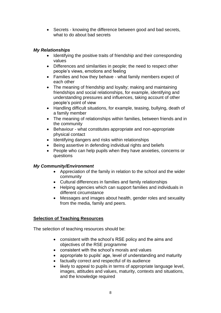• Secrets - knowing the difference between good and bad secrets, what to do about bad secrets

# *My Relationships*

- Identifying the positive traits of friendship and their corresponding values
- Differences and similarities in people; the need to respect other people's views, emotions and feeling
- Families and how they behave what family members expect of each other
- The meaning of friendship and loyalty; making and maintaining friendships and social relationships, for example, identifying and understanding pressures and influences, taking account of other people's point of view
- Handling difficult situations, for example, teasing, bullying, death of a family member
- The meaning of relationships within families, between friends and in the community
- Behaviour what constitutes appropriate and non-appropriate physical contact
- Identifying dangers and risks within relationships
- Being assertive in defending individual rights and beliefs
- People who can help pupils when they have anxieties, concerns or questions

# *My Community/Environment*

- Appreciation of the family in relation to the school and the wider community
- Cultural differences in families and family relationships
- Helping agencies which can support families and individuals in different circumstance
- Messages and images about health, gender roles and sexuality from the media, family and peers.

# **Selection of Teaching Resources**

The selection of teaching resources should be:

- consistent with the school's RSE policy and the aims and objectives of the RSE programme
- consistent with the school's morals and values
- appropriate to pupils' age, level of understanding and maturity
- factually correct and respectful of its audience
- likely to appeal to pupils in terms of appropriate language level, images, attitudes and values, maturity, contexts and situations, and the knowledge required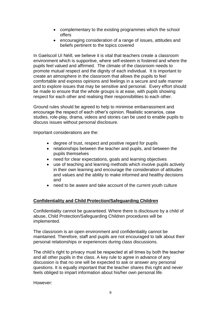- complementary to the existing programmes which the school offers
- encouraging consideration of a range of issues, attitudes and beliefs pertinent to the topics covered

In Gaelscoil Uí Néill, we believe it is vital that teachers create a classroom environment which is supportive, where self-esteem is fostered and where the pupils feel valued and affirmed. The climate of the classroom needs to promote mutual respect and the dignity of each individual. It is important to create an atmosphere in the classroom that allows the pupils to feel comfortable and express opinions and feelings in a secure and safe manner and to explore issues that may be sensitive and personal. Every effort should be made to ensure that the whole groups is at ease, with pupils showing respect for each other and realising their responsibilities to each other.

Ground rules should be agreed to help to minimise embarrassment and encourage the respect of each other's opinion. Realistic scenarios, case studies, role-play, drama, videos and stories can be used to enable pupils to discuss issues without personal disclosure.

Important considerations are the:

- degree of trust, respect and positive regard for pupils
- relationships between the teacher and pupils, and between the pupils themselves
- need for clear expectations, goals and learning objectives
- use of teaching and learning methods which involve pupils actively in their own learning and encourage the consideration of attitudes and values and the ability to make informed and healthy decisions and
- need to be aware and take account of the current youth culture

#### **Confidentiality and Child Protection/Safeguarding Children**

Confidentiality cannot be guaranteed. Where there is disclosure by a child of abuse, Child Protection/Safeguarding Children procedures will be implemented.

The classroom is an open environment and confidentiality cannot be maintained. Therefore, staff and pupils are not encouraged to talk about their personal relationships or experiences during class discussions.

The child's right to privacy must be respected at all times by both the teacher and all other pupils in the class. A key rule to agree in advance of any discussion is that no one will be expected to ask or answer any personal questions. It is equally important that the teacher shares this right and never feels obliged to impart information about his/her own personal life.

However: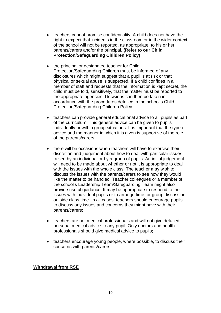- teachers cannot promise confidentiality. A child does not have the right to expect that incidents in the classroom or in the wider context of the school will not be reported, as appropriate, to his or her parents/carers and/or the principal. **(Refer to our Child Protection/Safeguarding Children Policy)**
- the principal or designated teacher for Child Protection/Safeguarding Children must be informed of any disclosures which might suggest that a pupil is at risk or that physical or sexual abuse is suspected. If a child confides in a member of staff and requests that the information is kept secret, the child must be told, sensitively, that the matter must be reported to the appropriate agencies. Decisions can then be taken in accordance with the procedures detailed in the school's Child Protection/Safeguarding Children Policy
- teachers can provide general educational advice to all pupils as part of the curriculum. This general advice can be given to pupils individually or within group situations. It is important that the type of advice and the manner in which it is given is supportive of the role of the parents/carers
- there will be occasions when teachers will have to exercise their discretion and judgement about how to deal with particular issues raised by an individual or by a group of pupils. An initial judgement will need to be made about whether or not it is appropriate to deal with the issues with the whole class. The teacher may wish to discuss the issues with the parents/carers to see how they would like the matter to be handled. Teacher colleagues or a member of the school's Leadership Team/Safeguarding Team might also provide useful guidance. It may be appropriate to respond to the issues with individual pupils or to arrange time for group discussion outside class time. In all cases, teachers should encourage pupils to discuss any issues and concerns they might have with their parents/carers;
- teachers are not medical professionals and will not give detailed personal medical advice to any pupil. Only doctors and health professionals should give medical advice to pupils;
- teachers encourage young people, where possible, to discuss their concerns with parents/carers

#### **Withdrawal from RSE**